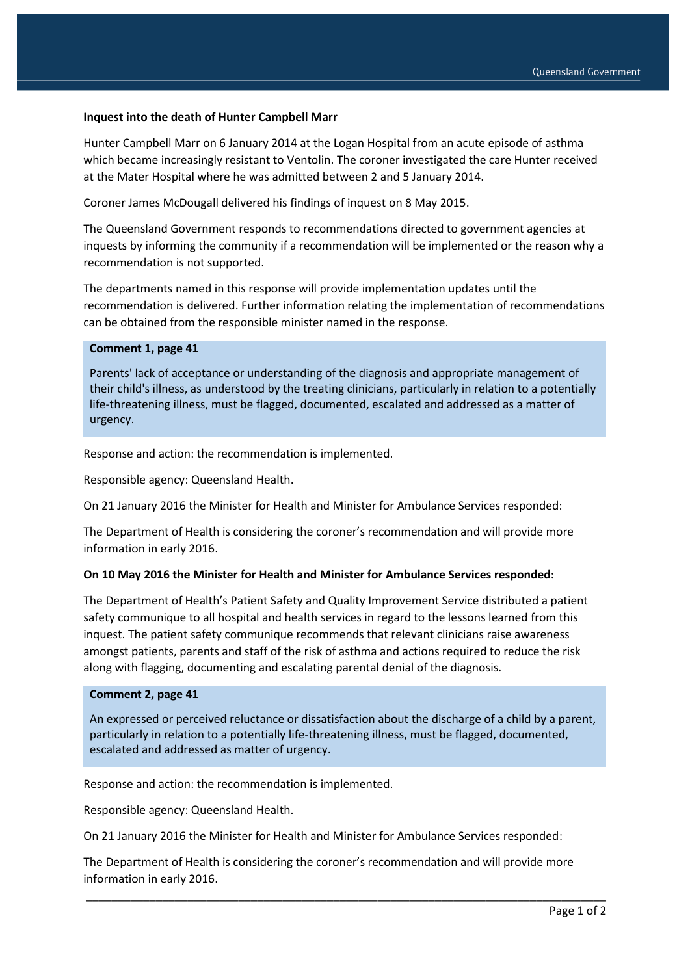### **Inquest into the death of Hunter Campbell Marr**

Hunter Campbell Marr on 6 January 2014 at the Logan Hospital from an acute episode of asthma which became increasingly resistant to Ventolin. The coroner investigated the care Hunter received at the Mater Hospital where he was admitted between 2 and 5 January 2014.

Coroner James McDougall delivered his findings of inquest on 8 May 2015.

The Queensland Government responds to recommendations directed to government agencies at inquests by informing the community if a recommendation will be implemented or the reason why a recommendation is not supported.

The departments named in this response will provide implementation updates until the recommendation is delivered. Further information relating the implementation of recommendations can be obtained from the responsible minister named in the response.

### **Comment 1, page 41**

Parents' lack of acceptance or understanding of the diagnosis and appropriate management of their child's illness, as understood by the treating clinicians, particularly in relation to a potentially life-threatening illness, must be flagged, documented, escalated and addressed as a matter of urgency.

Response and action: the recommendation is implemented.

Responsible agency: Queensland Health.

On 21 January 2016 the Minister for Health and Minister for Ambulance Services responded:

The Department of Health is considering the coroner's recommendation and will provide more information in early 2016.

#### **On 10 May 2016 the Minister for Health and Minister for Ambulance Services responded:**

The Department of Health's Patient Safety and Quality Improvement Service distributed a patient safety communique to all hospital and health services in regard to the lessons learned from this inquest. The patient safety communique recommends that relevant clinicians raise awareness amongst patients, parents and staff of the risk of asthma and actions required to reduce the risk along with flagging, documenting and escalating parental denial of the diagnosis.

#### **Comment 2, page 41**

An expressed or perceived reluctance or dissatisfaction about the discharge of a child by a parent, particularly in relation to a potentially life-threatening illness, must be flagged, documented, escalated and addressed as matter of urgency.

Response and action: the recommendation is implemented.

Responsible agency: Queensland Health.

On 21 January 2016 the Minister for Health and Minister for Ambulance Services responded:

The Department of Health is considering the coroner's recommendation and will provide more information in early 2016.

\_\_\_\_\_\_\_\_\_\_\_\_\_\_\_\_\_\_\_\_\_\_\_\_\_\_\_\_\_\_\_\_\_\_\_\_\_\_\_\_\_\_\_\_\_\_\_\_\_\_\_\_\_\_\_\_\_\_\_\_\_\_\_\_\_\_\_\_\_\_\_\_\_\_\_\_\_\_\_\_\_\_